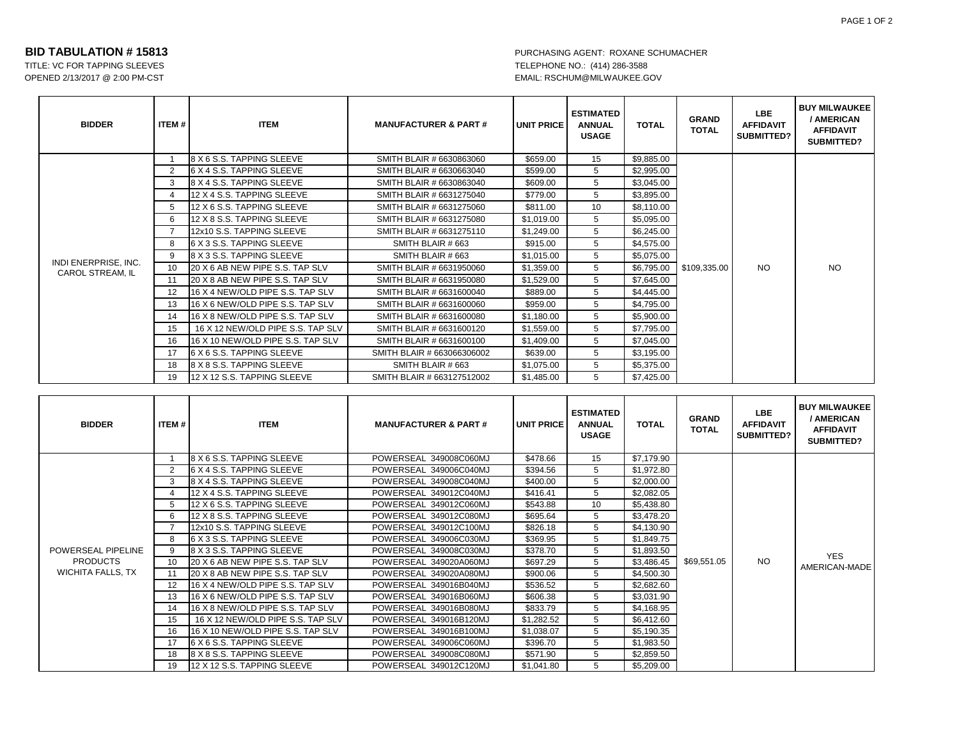TITLE: VC FOR TAPPING SLEEVES TELEPHONE NO.: (414) 286-3588 OPENED 2/13/2017 @ 2:00 PM-CST EMAIL: RSCHUM@MILWAUKEE.GOV

| <b>BIDDER</b>                                   | <b>ITEM#</b> | <b>ITEM</b>                       | <b>MANUFACTURER &amp; PART#</b> | <b>UNIT PRICE</b> | <b>ESTIMATED</b><br><b>ANNUAL</b><br><b>USAGE</b> | <b>TOTAL</b> | <b>GRAND</b><br><b>TOTAL</b> | <b>LBE</b><br><b>AFFIDAVIT</b><br><b>SUBMITTED?</b> | <b>BUY MILWAUKEE</b><br>/ AMERICAN<br><b>AFFIDAVIT</b><br><b>SUBMITTED?</b> |
|-------------------------------------------------|--------------|-----------------------------------|---------------------------------|-------------------|---------------------------------------------------|--------------|------------------------------|-----------------------------------------------------|-----------------------------------------------------------------------------|
|                                                 | $\mathbf{1}$ | 8 X 6 S.S. TAPPING SLEEVE         | SMITH BLAIR # 6630863060        | \$659.00          | 15                                                | \$9,885.00   |                              | NO.                                                 | <b>NO</b>                                                                   |
|                                                 | 2            | 6 X 4 S.S. TAPPING SLEEVE         | SMITH BLAIR # 6630663040        | \$599.00          | 5                                                 | \$2,995.00   |                              |                                                     |                                                                             |
|                                                 | 3            | 8 X 4 S.S. TAPPING SLEEVE         | SMITH BLAIR # 6630863040        | \$609.00          | 5                                                 | \$3,045.00   |                              |                                                     |                                                                             |
|                                                 | 4            | 12 X 4 S.S. TAPPING SLEEVE        | SMITH BLAIR # 6631275040        | \$779.00          | 5                                                 | \$3,895.00   | \$109.335.00                 |                                                     |                                                                             |
|                                                 | 5            | 12 X 6 S.S. TAPPING SLEEVE        | SMITH BLAIR # 6631275060        | \$811.00          | 10                                                | \$8,110.00   |                              |                                                     |                                                                             |
|                                                 | 6            | 12 X 8 S.S. TAPPING SLEEVE        | SMITH BLAIR # 6631275080        | \$1,019.00        | 5                                                 | \$5,095.00   |                              |                                                     |                                                                             |
|                                                 |              | 12x10 S.S. TAPPING SLEEVE         | SMITH BLAIR # 6631275110        | \$1,249.00        | 5                                                 | \$6,245.00   |                              |                                                     |                                                                             |
|                                                 | 8            | 6 X 3 S.S. TAPPING SLEEVE         | SMITH BLAIR # 663               | \$915.00          | 5                                                 | \$4,575.00   |                              |                                                     |                                                                             |
|                                                 | 9            | 8 X 3 S.S. TAPPING SLEEVE         | SMITH BLAIR # 663               | \$1.015.00        | 5                                                 | \$5,075.00   |                              |                                                     |                                                                             |
| INDI ENERPRISE, INC.<br><b>CAROL STREAM. IL</b> | 10           | 20 X 6 AB NEW PIPE S.S. TAP SLV   | SMITH BLAIR # 6631950060        | \$1,359.00        | 5                                                 | \$6,795.00   |                              |                                                     |                                                                             |
|                                                 | 11           | 20 X 8 AB NEW PIPE S.S. TAP SLV   | SMITH BLAIR # 6631950080        | \$1,529.00        | 5                                                 | \$7,645.00   |                              |                                                     |                                                                             |
|                                                 | 12           | 16 X 4 NEW/OLD PIPE S.S. TAP SLV  | SMITH BLAIR # 6631600040        | \$889.00          | 5                                                 | \$4,445.00   |                              |                                                     |                                                                             |
|                                                 | 13           | 16 X 6 NEW/OLD PIPE S.S. TAP SLV  | SMITH BLAIR # 6631600060        | \$959.00          | 5                                                 | \$4,795.00   |                              |                                                     |                                                                             |
|                                                 | 14           | 16 X 8 NEW/OLD PIPE S.S. TAP SLV  | SMITH BLAIR # 6631600080        | \$1,180.00        | 5                                                 | \$5,900.00   |                              |                                                     |                                                                             |
|                                                 | 15           | 16 X 12 NEW/OLD PIPE S.S. TAP SLV | SMITH BLAIR # 6631600120        | \$1,559.00        | 5                                                 | \$7,795.00   |                              |                                                     |                                                                             |
|                                                 | 16           | 16 X 10 NEW/OLD PIPE S.S. TAP SLV | SMITH BLAIR # 6631600100        | \$1,409.00        | 5                                                 | \$7,045.00   |                              |                                                     |                                                                             |
|                                                 | 17           | 6 X 6 S.S. TAPPING SLEEVE         | SMITH BLAIR # 663066306002      | \$639.00          | 5                                                 | \$3,195.00   |                              |                                                     |                                                                             |
|                                                 | 18           | 8 X 8 S.S. TAPPING SLEEVE         | SMITH BLAIR # 663               | \$1,075.00        | 5                                                 | \$5,375.00   |                              |                                                     |                                                                             |
|                                                 | 19           | 12 X 12 S.S. TAPPING SLEEVE       | SMITH BLAIR # 663127512002      | \$1,485.00        | 5                                                 | \$7,425.00   |                              |                                                     |                                                                             |

| <b>BIDDER</b>                                              | ITEM # | <b>ITEM</b>                       | <b>MANUFACTURER &amp; PART#</b> | <b>UNIT PRICE</b> | <b>ESTIMATED</b><br><b>ANNUAL</b><br><b>USAGE</b> | <b>TOTAL</b> | <b>GRAND</b><br><b>TOTAL</b> | LBE.<br><b>AFFIDAVIT</b><br><b>SUBMITTED?</b> | <b>BUY MILWAUKEE</b><br>/ AMERICAN<br><b>AFFIDAVIT</b><br>SUBMITTED? |
|------------------------------------------------------------|--------|-----------------------------------|---------------------------------|-------------------|---------------------------------------------------|--------------|------------------------------|-----------------------------------------------|----------------------------------------------------------------------|
|                                                            |        | 8 X 6 S.S. TAPPING SLEEVE         | POWERSEAL 349008C060MJ          | \$478.66          | 15                                                | \$7,179.90   |                              |                                               |                                                                      |
|                                                            |        | 6 X 4 S.S. TAPPING SLEEVE         | POWERSEAL 349006C040MJ          | \$394.56          | 5                                                 | \$1,972.80   |                              |                                               | <b>YES</b><br>AMERICAN-MADE                                          |
|                                                            | 3      | 8 X 4 S.S. TAPPING SLEEVE         | POWERSEAL 349008C040MJ          | \$400.00          | 5                                                 | \$2,000.00   |                              |                                               |                                                                      |
|                                                            |        | 12 X 4 S.S. TAPPING SLEEVE        | POWERSEAL 349012C040MJ          | \$416.41          | 5                                                 | \$2,082.05   |                              |                                               |                                                                      |
| POWERSEAL PIPELINE<br><b>PRODUCTS</b><br>WICHITA FALLS, TX |        | 12 X 6 S.S. TAPPING SLEEVE        | POWERSEAL 349012C060MJ          | \$543.88          | 10                                                | \$5,438.80   |                              |                                               |                                                                      |
|                                                            | 6      | 12 X 8 S.S. TAPPING SLEEVE        | POWERSEAL 349012C080MJ          | \$695.64          | 5                                                 | \$3,478.20   |                              |                                               |                                                                      |
|                                                            |        | 12x10 S.S. TAPPING SLEEVE         | POWERSEAL 349012C100MJ          | \$826.18          | 5                                                 | \$4,130.90   |                              |                                               |                                                                      |
|                                                            | 9      | 6 X 3 S.S. TAPPING SLEEVE         | POWERSEAL 349006C030MJ          | \$369.95          | 5                                                 | \$1,849.75   |                              |                                               |                                                                      |
|                                                            |        | 8 X 3 S.S. TAPPING SLEEVE         | POWERSEAL 349008C030MJ          | \$378.70          | 5                                                 | \$1,893.50   |                              |                                               |                                                                      |
|                                                            | 10     | 20 X 6 AB NEW PIPE S.S. TAP SLV   | POWERSEAL 349020A060MJ          | \$697.29          | 5                                                 | \$3,486.45   | \$69,551.05                  | <b>NO</b>                                     |                                                                      |
|                                                            |        | 20 X 8 AB NEW PIPE S.S. TAP SLV   | POWERSEAL 349020A080MJ          | \$900.06          | 5                                                 | \$4,500.30   |                              |                                               |                                                                      |
|                                                            | 12     | 16 X 4 NEW/OLD PIPE S.S. TAP SLV  | POWERSEAL 349016B040MJ          | \$536.52          | 5                                                 | \$2,682.60   |                              |                                               |                                                                      |
|                                                            | 13     | 16 X 6 NEW/OLD PIPE S.S. TAP SLV  | POWERSEAL 349016B060MJ          | \$606.38          | 5                                                 | \$3,031.90   |                              |                                               |                                                                      |
|                                                            | 14     | 16 X 8 NEW/OLD PIPE S.S. TAP SLV  | POWERSEAL 349016B080MJ          | \$833.79          | 5                                                 | \$4,168.95   |                              |                                               |                                                                      |
|                                                            | 15     | 16 X 12 NEW/OLD PIPE S.S. TAP SLV | POWERSEAL 349016B120MJ          | \$1,282.52        | 5                                                 | \$6,412.60   |                              |                                               |                                                                      |
|                                                            | 16     | 16 X 10 NEW/OLD PIPE S.S. TAP SLV | POWERSEAL 349016B100MJ          | \$1,038.07        | 5                                                 | \$5,190.35   |                              |                                               |                                                                      |
|                                                            |        | 6 X 6 S.S. TAPPING SLEEVE         | POWERSEAL 349006C060MJ          | \$396.70          | 5                                                 | \$1,983.50   |                              |                                               |                                                                      |
|                                                            | 18     | 8 X 8 S.S. TAPPING SLEEVE         | POWERSEAL 349008C080MJ          | \$571.90          | 5                                                 | \$2,859.50   |                              |                                               |                                                                      |
|                                                            | 19     | 12 X 12 S.S. TAPPING SLEEVE       | POWERSEAL 349012C120MJ          | \$1,041.80        | 5                                                 | \$5,209.00   |                              |                                               |                                                                      |